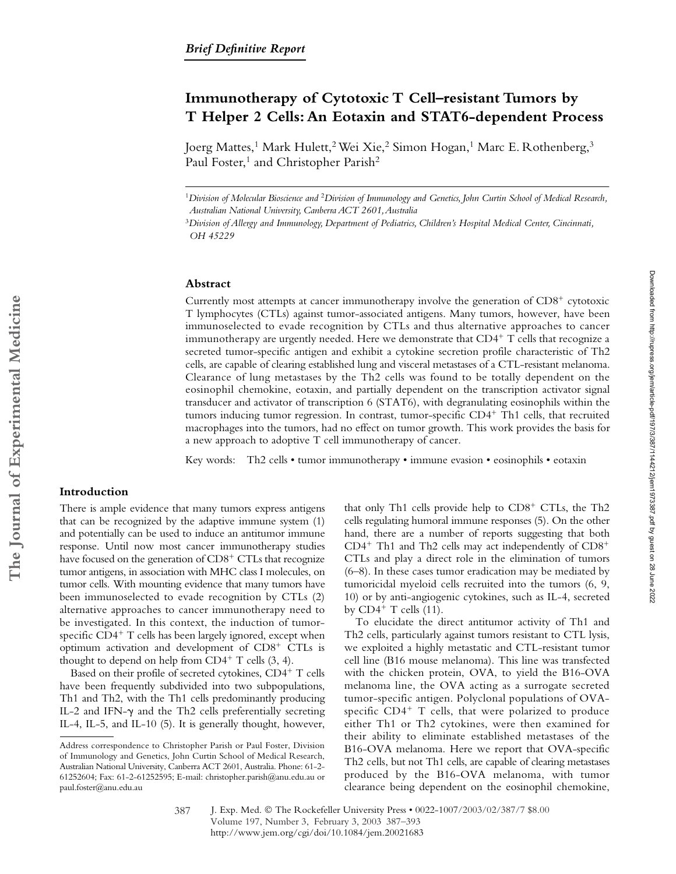# **Immunotherapy of Cytotoxic T Cell–resistant Tumors by T Helper 2 Cells: An Eotaxin and STAT6-dependent Process**

Joerg Mattes,<sup>1</sup> Mark Hulett,<sup>2</sup> Wei Xie,<sup>2</sup> Simon Hogan,<sup>1</sup> Marc E. Rothenberg,<sup>3</sup> Paul Foster,<sup>1</sup> and Christopher Parish<sup>2</sup>

#### **Abstract**

Currently most attempts at cancer immunotherapy involve the generation of CD8<sup>+</sup> cytotoxic T lymphocytes (CTLs) against tumor-associated antigens. Many tumors, however, have been immunoselected to evade recognition by CTLs and thus alternative approaches to cancer immunotherapy are urgently needed. Here we demonstrate that  $CD4^+$  T cells that recognize a secreted tumor-specific antigen and exhibit a cytokine secretion profile characteristic of Th2 cells, are capable of clearing established lung and visceral metastases of a CTL-resistant melanoma. Clearance of lung metastases by the Th2 cells was found to be totally dependent on the eosinophil chemokine, eotaxin, and partially dependent on the transcription activator signal transducer and activator of transcription 6 (STAT6), with degranulating eosinophils within the tumors inducing tumor regression. In contrast, tumor-specific CD4<sup>+</sup> Th1 cells, that recruited macrophages into the tumors, had no effect on tumor growth. This work provides the basis for a new approach to adoptive T cell immunotherapy of cancer.

Key words: Th2 cells • tumor immunotherapy • immune evasion • eosinophils • eotaxin

# **Introduction**

There is ample evidence that many tumors express antigens that can be recognized by the adaptive immune system (1) and potentially can be used to induce an antitumor immune response. Until now most cancer immunotherapy studies have focused on the generation of CD8<sup>+</sup> CTLs that recognize tumor antigens, in association with MHC class I molecules, on tumor cells. With mounting evidence that many tumors have been immunoselected to evade recognition by CTLs (2) alternative approaches to cancer immunotherapy need to be investigated. In this context, the induction of tumorspecific CD4<sup>+</sup> T cells has been largely ignored, except when optimum activation and development of CD8<sup>+</sup> CTLs is thought to depend on help from  $CD4^+$  T cells  $(3, 4)$ .

Based on their profile of secreted cytokines, CD4+ T cells have been frequently subdivided into two subpopulations, Th1 and Th2, with the Th1 cells predominantly producing IL-2 and IFN- $\gamma$  and the Th2 cells preferentially secreting IL-4, IL-5, and IL-10 (5). It is generally thought, however,

that only Th1 cells provide help to CD8<sup>+</sup> CTLs, the Th2 cells regulating humoral immune responses (5). On the other hand, there are a number of reports suggesting that both  $CD4^+$  Th1 and Th2 cells may act independently of  $CD8^+$ CTLs and play a direct role in the elimination of tumors (6–8). In these cases tumor eradication may be mediated by tumoricidal myeloid cells recruited into the tumors (6, 9, 10) or by anti-angiogenic cytokines, such as IL-4, secreted by  $CD4^+$  T cells  $(11)$ .

To elucidate the direct antitumor activity of Th1 and Th2 cells, particularly against tumors resistant to CTL lysis, we exploited a highly metastatic and CTL-resistant tumor cell line (B16 mouse melanoma). This line was transfected with the chicken protein, OVA, to yield the B16-OVA melanoma line, the OVA acting as a surrogate secreted tumor-specific antigen. Polyclonal populations of OVAspecific CD4<sup>+</sup> T cells, that were polarized to produce either Th1 or Th2 cytokines, were then examined for their ability to eliminate established metastases of the B16-OVA melanoma. Here we report that OVA-specific Th2 cells, but not Th1 cells, are capable of clearing metastases produced by the B16-OVA melanoma, with tumor clearance being dependent on the eosinophil chemokine,

<sup>1</sup>*Division of Molecular Bioscience and* <sup>2</sup>*Division of Immunology and Genetics, John Curtin School of Medical Research, Australian National University, Canberra ACT 2601, Australia*

<sup>3</sup>*Division of Allergy and Immunology, Department of Pediatrics, Children's Hospital Medical Center, Cincinnati, OH 45229*

Address correspondence to Christopher Parish or Paul Foster, Division of Immunology and Genetics, John Curtin School of Medical Research, Australian National University, Canberra ACT 2601, Australia. Phone: 61-2- 61252604; Fax: 61-2-61252595; E-mail: christopher.parish@anu.edu.au or paul.foster@anu.edu.au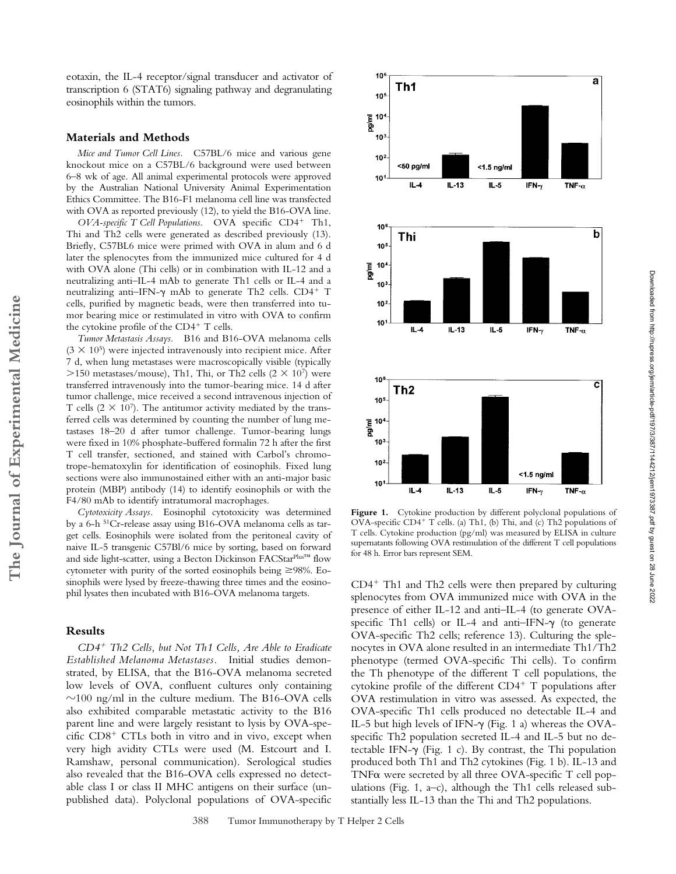eotaxin, the IL-4 receptor/signal transducer and activator of transcription 6 (STAT6) signaling pathway and degranulating eosinophils within the tumors.

# **Materials and Methods**

*Mice and Tumor Cell Lines.* C57BL/6 mice and various gene knockout mice on a C57BL/6 background were used between 6–8 wk of age. All animal experimental protocols were approved by the Australian National University Animal Experimentation Ethics Committee. The B16-F1 melanoma cell line was transfected with OVA as reported previously (12), to yield the B16-OVA line.

OVA-specific T Cell Populations. OVA specific CD4<sup>+</sup> Th1, Thi and Th2 cells were generated as described previously (13). Briefly, C57BL6 mice were primed with OVA in alum and 6 d later the splenocytes from the immunized mice cultured for 4 d with OVA alone (Thi cells) or in combination with IL-12 and a neutralizing anti–IL-4 mAb to generate Th1 cells or IL-4 and a neutralizing anti–IFN- $\gamma$  mAb to generate Th2 cells. CD4<sup>+</sup> T cells, purified by magnetic beads, were then transferred into tumor bearing mice or restimulated in vitro with OVA to confirm the cytokine profile of the CD4<sup>+</sup> T cells.

*Tumor Metastasis Assays.* B16 and B16-OVA melanoma cells  $(3 \times 10^5)$  were injected intravenously into recipient mice. After 7 d, when lung metastases were macroscopically visible (typically >150 metastases/mouse), Th1, Thi, or Th2 cells  $(2 \times 10^7)$  were transferred intravenously into the tumor-bearing mice. 14 d after tumor challenge, mice received a second intravenous injection of T cells  $(2 \times 10^7)$ . The antitumor activity mediated by the transferred cells was determined by counting the number of lung metastases 18–20 d after tumor challenge. Tumor-bearing lungs were fixed in 10% phosphate-buffered formalin 72 h after the first T cell transfer, sectioned, and stained with Carbol's chromotrope-hematoxylin for identification of eosinophils. Fixed lung sections were also immunostained either with an anti-major basic protein (MBP) antibody (14) to identify eosinophils or with the F4/80 mAb to identify intratumoral macrophages.

*Cytotoxicity Assays.* Eosinophil cytotoxicity was determined by a 6-h 51Cr-release assay using B16-OVA melanoma cells as target cells. Eosinophils were isolated from the peritoneal cavity of naive IL-5 transgenic C57Bl/6 mice by sorting, based on forward and side light-scatter, using a Becton Dickinson FACStar<sup>Plus™</sup> flow cytometer with purity of the sorted eosinophils being  $\geq$ 98%. Eosinophils were lysed by freeze-thawing three times and the eosinophil lysates then incubated with B16-OVA melanoma targets.

### **Results**

*CD4*- *Th2 Cells, but Not Th1 Cells, Are Able to Eradicate Established Melanoma Metastases.* Initial studies demonstrated, by ELISA, that the B16-OVA melanoma secreted low levels of OVA, confluent cultures only containing  $\sim$ 100 ng/ml in the culture medium. The B16-OVA cells also exhibited comparable metastatic activity to the B16 parent line and were largely resistant to lysis by OVA-specific CD8<sup>+</sup> CTLs both in vitro and in vivo, except when very high avidity CTLs were used (M. Estcourt and I. Ramshaw, personal communication). Serological studies also revealed that the B16-OVA cells expressed no detectable class I or class II MHC antigens on their surface (unpublished data). Polyclonal populations of OVA-specific



10

Downloaded from http://rupress.org/jem/article-pdf/197/3/387/1144212/jem1973387.pdf by guest on 28 June 2022 Downloaded from http://rupress.org/jem/article-pdf/197/3/387/1144212/jem1973387.pdf by guest on 28 June 2022

Figure 1. Cytokine production by different polyclonal populations of OVA-specific CD4<sup>+</sup> T cells. (a) Th1, (b) Thi, and (c) Th2 populations of T cells. Cytokine production (pg/ml) was measured by ELISA in culture supernatants following OVA restimulation of the different T cell populations for 48 h. Error bars represent SEM.

CD4<sup>+</sup> Th1 and Th2 cells were then prepared by culturing splenocytes from OVA immunized mice with OVA in the presence of either IL-12 and anti–IL-4 (to generate OVAspecific Th1 cells) or IL-4 and anti-IFN- $\gamma$  (to generate OVA-specific Th2 cells; reference 13). Culturing the splenocytes in OVA alone resulted in an intermediate Th1/Th2 phenotype (termed OVA-specific Thi cells). To confirm the Th phenotype of the different T cell populations, the cytokine profile of the different CD4<sup>+</sup> T populations after OVA restimulation in vitro was assessed. As expected, the OVA-specific Th1 cells produced no detectable IL-4 and IL-5 but high levels of IFN- $\gamma$  (Fig. 1 a) whereas the OVAspecific Th2 population secreted IL-4 and IL-5 but no detectable IFN- $\gamma$  (Fig. 1 c). By contrast, the Thi population produced both Th1 and Th2 cytokines (Fig. 1 b). IL-13 and TNF $\alpha$  were secreted by all three OVA-specific T cell populations (Fig. 1, a–c), although the Th1 cells released substantially less IL-13 than the Thi and Th2 populations.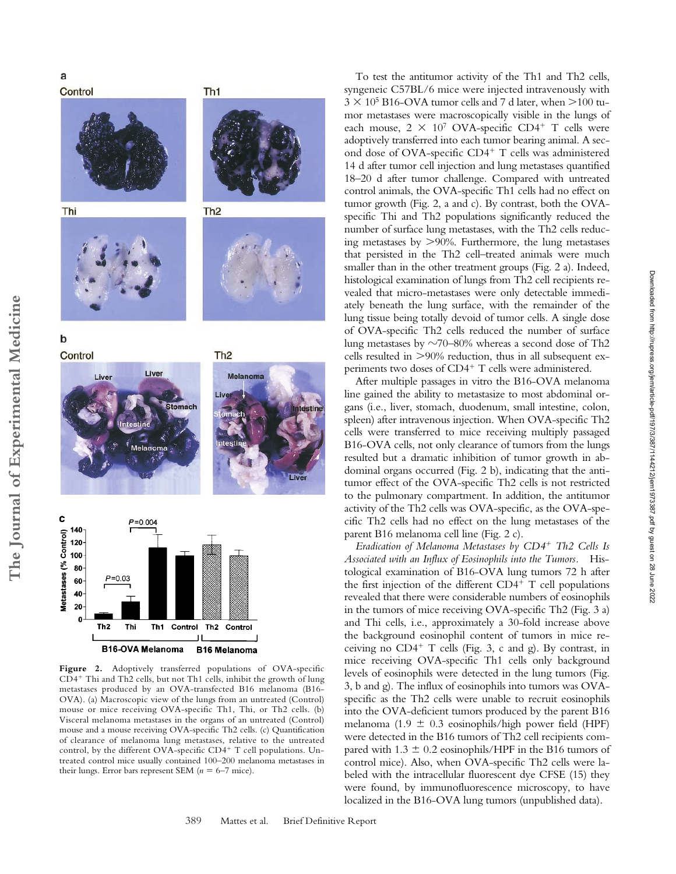Control







Th<sub>1</sub>

 $\mathbf b$ 



**Figure 2.** Adoptively transferred populations of OVA-specific CD4- Thi and Th2 cells, but not Th1 cells, inhibit the growth of lung metastases produced by an OVA-transfected B16 melanoma (B16- OVA). (a) Macroscopic view of the lungs from an untreated (Control) mouse or mice receiving OVA-specific Th1, Thi, or Th2 cells. (b) Visceral melanoma metastases in the organs of an untreated (Control) mouse and a mouse receiving OVA-specific Th2 cells. (c) Quantification of clearance of melanoma lung metastases, relative to the untreated control, by the different OVA-specific CD4<sup>+</sup> T cell populations. Untreated control mice usually contained 100–200 melanoma metastases in their lungs. Error bars represent SEM  $(n = 6-7$  mice).

To test the antitumor activity of the Th1 and Th2 cells, syngeneic C57BL/6 mice were injected intravenously with  $3 \times 10^5$  B16-OVA tumor cells and 7 d later, when  $>$ 100 tumor metastases were macroscopically visible in the lungs of each mouse,  $2 \times 10^7$  OVA-specific CD4<sup>+</sup> T cells were adoptively transferred into each tumor bearing animal. A second dose of OVA-specific CD4<sup>+</sup> T cells was administered 14 d after tumor cell injection and lung metastases quantified 18–20 d after tumor challenge. Compared with untreated control animals, the OVA-specific Th1 cells had no effect on tumor growth (Fig. 2, a and c). By contrast, both the OVAspecific Thi and Th2 populations significantly reduced the number of surface lung metastases, with the Th2 cells reducing metastases by  $>90\%$ . Furthermore, the lung metastases that persisted in the Th2 cell–treated animals were much smaller than in the other treatment groups (Fig. 2 a). Indeed, histological examination of lungs from Th2 cell recipients revealed that micro-metastases were only detectable immediately beneath the lung surface, with the remainder of the lung tissue being totally devoid of tumor cells. A single dose of OVA-specific Th2 cells reduced the number of surface lung metastases by  $\sim$ 70–80% whereas a second dose of Th2 cells resulted in  $>90\%$  reduction, thus in all subsequent experiments two doses of CD4<sup>+</sup> T cells were administered.

After multiple passages in vitro the B16-OVA melanoma line gained the ability to metastasize to most abdominal organs (i.e., liver, stomach, duodenum, small intestine, colon, spleen) after intravenous injection. When OVA-specific Th2 cells were transferred to mice receiving multiply passaged B16-OVA cells, not only clearance of tumors from the lungs resulted but a dramatic inhibition of tumor growth in abdominal organs occurred (Fig. 2 b), indicating that the antitumor effect of the OVA-specific Th2 cells is not restricted to the pulmonary compartment. In addition, the antitumor activity of the Th2 cells was OVA-specific, as the OVA-specific Th2 cells had no effect on the lung metastases of the parent B16 melanoma cell line (Fig. 2 c).

Downloaded from http://rupress.org/jem/article-pdf/197/3/387/1144212/jem1973387.pdf by guest on 28 June 2022

Downloaded from http://rupress.org/jem/article-pdf/197/3/387/1144212/jem1973387.pdf by guest on 28 June 2022

*Eradication of Melanoma Metastases by CD4*- *Th2 Cells Is Associated with an Influx of Eosinophils into the Tumors.* Histological examination of B16-OVA lung tumors 72 h after the first injection of the different CD4<sup>+</sup> T cell populations revealed that there were considerable numbers of eosinophils in the tumors of mice receiving OVA-specific Th2 (Fig. 3 a) and Thi cells, i.e., approximately a 30-fold increase above the background eosinophil content of tumors in mice receiving no CD4- T cells (Fig. 3, c and g). By contrast, in mice receiving OVA-specific Th1 cells only background levels of eosinophils were detected in the lung tumors (Fig. 3, b and g). The influx of eosinophils into tumors was OVAspecific as the Th2 cells were unable to recruit eosinophils into the OVA-deficient tumors produced by the parent B16 melanoma (1.9  $\pm$  0.3 eosinophils/high power field (HPF) were detected in the B16 tumors of Th2 cell recipients compared with  $1.3 \pm 0.2$  eosinophils/HPF in the B16 tumors of control mice). Also, when OVA-specific Th2 cells were labeled with the intracellular fluorescent dye CFSE (15) they were found, by immunofluorescence microscopy, to have localized in the B16-OVA lung tumors (unpublished data).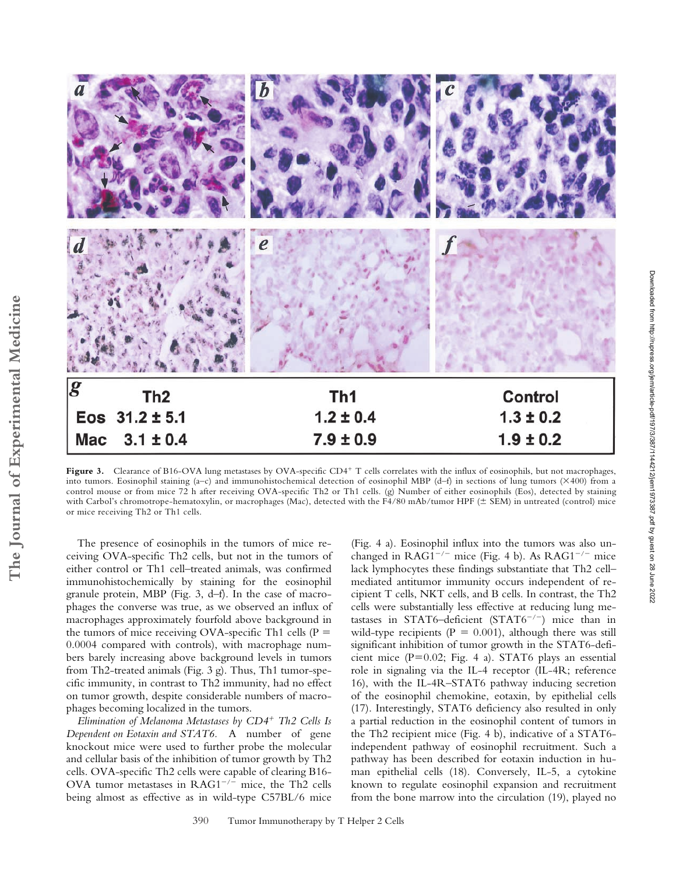

Figure 3. Clearance of B16-OVA lung metastases by OVA-specific CD4<sup>+</sup> T cells correlates with the influx of eosinophils, but not macrophages, into tumors. Eosinophil staining  $(a-c)$  and immunohistochemical detection of eosinophil MBP  $(d-f)$  in sections of lung tumors  $(\times 400)$  from a control mouse or from mice 72 h after receiving OVA-specific Th2 or Th1 cells. (g) Number of either eosinophils (Eos), detected by staining with Carbol's chromotrope-hematoxylin, or macrophages (Mac), detected with the F4/80 mAb/tumor HPF (± SEM) in untreated (control) mice or mice receiving Th2 or Th1 cells.

The presence of eosinophils in the tumors of mice receiving OVA-specific Th2 cells, but not in the tumors of either control or Th1 cell–treated animals, was confirmed immunohistochemically by staining for the eosinophil granule protein, MBP (Fig. 3, d–f). In the case of macrophages the converse was true, as we observed an influx of macrophages approximately fourfold above background in the tumors of mice receiving OVA-specific Th1 cells ( $P =$ 0.0004 compared with controls), with macrophage numbers barely increasing above background levels in tumors from Th2-treated animals (Fig. 3 g). Thus, Th1 tumor-specific immunity, in contrast to Th2 immunity, had no effect on tumor growth, despite considerable numbers of macrophages becoming localized in the tumors.

*Elimination of Melanoma Metastases by CD4*- *Th2 Cells Is Dependent on Eotaxin and STAT6.* A number of gene knockout mice were used to further probe the molecular and cellular basis of the inhibition of tumor growth by Th2 cells. OVA-specific Th2 cells were capable of clearing B16- OVA tumor metastases in  $RAG1^{-/-}$  mice, the Th2 cells being almost as effective as in wild-type C57BL/6 mice

(Fig. 4 a). Eosinophil influx into the tumors was also unchanged in  $RAG1^{-/-}$  mice (Fig. 4 b). As  $RAG1^{-/-}$  mice lack lymphocytes these findings substantiate that Th2 cell– mediated antitumor immunity occurs independent of recipient T cells, NKT cells, and B cells. In contrast, the Th2 cells were substantially less effective at reducing lung metastases in STAT6-deficient (STAT6<sup>-/-</sup>) mice than in wild-type recipients ( $P = 0.001$ ), although there was still significant inhibition of tumor growth in the STAT6-deficient mice  $(P=0.02;$  Fig. 4 a). STAT6 plays an essential role in signaling via the IL-4 receptor (IL-4R; reference 16), with the IL-4R–STAT6 pathway inducing secretion of the eosinophil chemokine, eotaxin, by epithelial cells (17). Interestingly, STAT6 deficiency also resulted in only a partial reduction in the eosinophil content of tumors in the Th2 recipient mice (Fig. 4 b), indicative of a STAT6 independent pathway of eosinophil recruitment. Such a pathway has been described for eotaxin induction in human epithelial cells (18). Conversely, IL-5, a cytokine known to regulate eosinophil expansion and recruitment from the bone marrow into the circulation (19), played no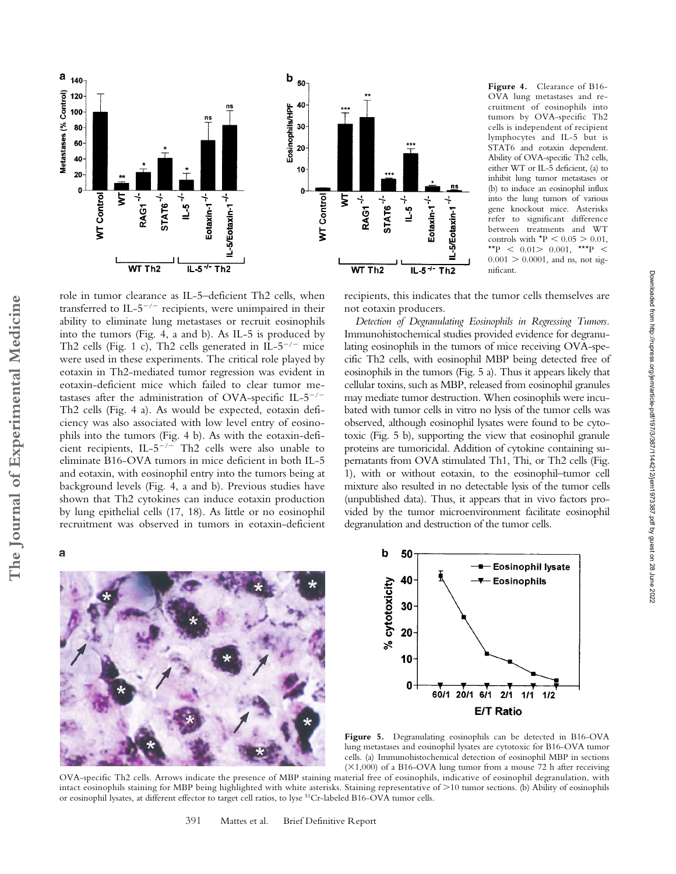

**Figure 4.** Clearance of B16- OVA lung metastases and recruitment of eosinophils into tumors by OVA-specific Th2 cells is independent of recipient lymphocytes and IL-5 but is STAT6 and eotaxin dependent. Ability of OVA-specific Th2 cells, either WT or IL-5 deficient, (a) to inhibit lung tumor metastases or (b) to induce an eosinophil influx into the lung tumors of various gene knockout mice. Asterisks refer to significant difference between treatments and WT controls with  $*P < 0.05 > 0.01$ , \*\*P  $<$  0.01 > 0.001, \*\*\*P  $<$  $0.001 > 0.0001$ , and ns, not significant.

Downloaded from http://rupress.org/jem/article-pdf/197/3/387/1144212/jem1973387.pdf by guest on 28 June 2022

Downloaded from http://rupress.org/jem/article-pdf/197/3/387/1144212/jem1973387.pdf by guest on 28 June 2022

recipients, this indicates that the tumor cells themselves are not eotaxin producers.

*Detection of Degranulating Eosinophils in Regressing Tumors.* Immunohistochemical studies provided evidence for degranulating eosinophils in the tumors of mice receiving OVA-specific Th2 cells, with eosinophil MBP being detected free of eosinophils in the tumors (Fig. 5 a). Thus it appears likely that cellular toxins, such as MBP, released from eosinophil granules may mediate tumor destruction. When eosinophils were incubated with tumor cells in vitro no lysis of the tumor cells was observed, although eosinophil lysates were found to be cytotoxic (Fig. 5 b), supporting the view that eosinophil granule proteins are tumoricidal. Addition of cytokine containing supernatants from OVA stimulated Th1, Thi, or Th2 cells (Fig. 1), with or without eotaxin, to the eosinophil–tumor cell mixture also resulted in no detectable lysis of the tumor cells (unpublished data). Thus, it appears that in vivo factors provided by the tumor microenvironment facilitate eosinophil degranulation and destruction of the tumor cells.

role in tumor clearance as IL-5–deficient Th2 cells, when transferred to  $IL-5^{-/-}$  recipients, were unimpaired in their ability to eliminate lung metastases or recruit eosinophils into the tumors (Fig. 4, a and b). As IL-5 is produced by Th2 cells (Fig. 1 c), Th2 cells generated in IL- $5^{-/-}$  mice were used in these experiments. The critical role played by eotaxin in Th2-mediated tumor regression was evident in eotaxin-deficient mice which failed to clear tumor metastases after the administration of OVA-specific IL- $5^{-/-}$ Th2 cells (Fig. 4 a). As would be expected, eotaxin deficiency was also associated with low level entry of eosinophils into the tumors (Fig. 4 b). As with the eotaxin-deficient recipients, IL-5 / Th2 cells were also unable to eliminate B16-OVA tumors in mice deficient in both IL-5 and eotaxin, with eosinophil entry into the tumors being at background levels (Fig. 4, a and b). Previous studies have shown that Th2 cytokines can induce eotaxin production by lung epithelial cells (17, 18). As little or no eosinophil recruitment was observed in tumors in eotaxin-deficient







**Figure 5.** Degranulating eosinophils can be detected in B16-OVA lung metastases and eosinophil lysates are cytotoxic for B16-OVA tumor cells. (a) Immunohistochemical detection of eosinophil MBP in sections  $(X1,000)$  of a B16-OVA lung tumor from a mouse 72 h after receiving

OVA-specific Th2 cells. Arrows indicate the presence of MBP staining material free of eosinophils, indicative of eosinophil degranulation, with intact eosinophils staining for MBP being highlighted with white asterisks. Staining representative of 10 tumor sections. (b) Ability of eosinophils or eosinophil lysates, at different effector to target cell ratios, to lyse 51Cr-labeled B16-OVA tumor cells.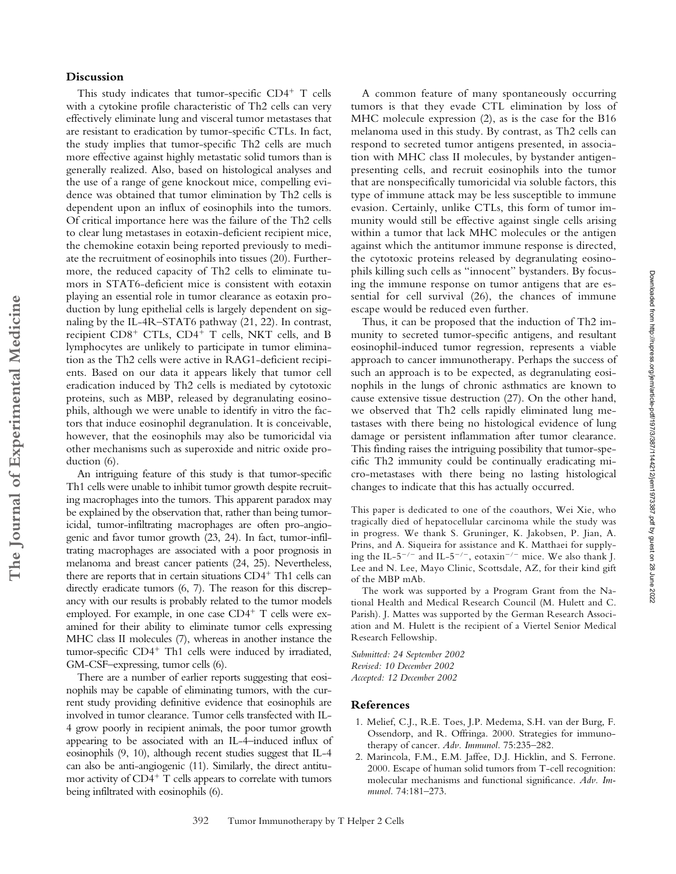## **Discussion**

This study indicates that tumor-specific CD4<sup>+</sup> T cells with a cytokine profile characteristic of Th2 cells can very effectively eliminate lung and visceral tumor metastases that are resistant to eradication by tumor-specific CTLs. In fact, the study implies that tumor-specific Th2 cells are much more effective against highly metastatic solid tumors than is generally realized. Also, based on histological analyses and the use of a range of gene knockout mice, compelling evidence was obtained that tumor elimination by Th2 cells is dependent upon an influx of eosinophils into the tumors. Of critical importance here was the failure of the Th2 cells to clear lung metastases in eotaxin-deficient recipient mice, the chemokine eotaxin being reported previously to mediate the recruitment of eosinophils into tissues (20). Furthermore, the reduced capacity of Th2 cells to eliminate tumors in STAT6-deficient mice is consistent with eotaxin playing an essential role in tumor clearance as eotaxin production by lung epithelial cells is largely dependent on signaling by the IL-4R–STAT6 pathway (21, 22). In contrast, recipient CD8<sup>+</sup> CTLs, CD4<sup>+</sup> T cells, NKT cells, and B lymphocytes are unlikely to participate in tumor elimination as the Th2 cells were active in RAG1-deficient recipients. Based on our data it appears likely that tumor cell eradication induced by Th2 cells is mediated by cytotoxic proteins, such as MBP, released by degranulating eosinophils, although we were unable to identify in vitro the factors that induce eosinophil degranulation. It is conceivable, however, that the eosinophils may also be tumoricidal via other mechanisms such as superoxide and nitric oxide production (6).

An intriguing feature of this study is that tumor-specific Th1 cells were unable to inhibit tumor growth despite recruiting macrophages into the tumors. This apparent paradox may be explained by the observation that, rather than being tumoricidal, tumor-infiltrating macrophages are often pro-angiogenic and favor tumor growth (23, 24). In fact, tumor-infiltrating macrophages are associated with a poor prognosis in melanoma and breast cancer patients (24, 25). Nevertheless, there are reports that in certain situations CD4<sup>+</sup> Th1 cells can directly eradicate tumors (6, 7). The reason for this discrepancy with our results is probably related to the tumor models employed. For example, in one case CD4<sup>+</sup> T cells were examined for their ability to eliminate tumor cells expressing MHC class II molecules (7), whereas in another instance the tumor-specific CD4<sup>+</sup> Th1 cells were induced by irradiated, GM-CSF–expressing, tumor cells (6).

There are a number of earlier reports suggesting that eosinophils may be capable of eliminating tumors, with the current study providing definitive evidence that eosinophils are involved in tumor clearance. Tumor cells transfected with IL-4 grow poorly in recipient animals, the poor tumor growth appearing to be associated with an IL-4–induced influx of eosinophils (9, 10), although recent studies suggest that IL-4 can also be anti-angiogenic (11). Similarly, the direct antitumor activity of CD4<sup>+</sup> T cells appears to correlate with tumors being infiltrated with eosinophils (6).

A common feature of many spontaneously occurring tumors is that they evade CTL elimination by loss of MHC molecule expression (2), as is the case for the B16 melanoma used in this study. By contrast, as Th2 cells can respond to secreted tumor antigens presented, in association with MHC class II molecules, by bystander antigenpresenting cells, and recruit eosinophils into the tumor that are nonspecifically tumoricidal via soluble factors, this type of immune attack may be less susceptible to immune evasion. Certainly, unlike CTLs, this form of tumor immunity would still be effective against single cells arising within a tumor that lack MHC molecules or the antigen against which the antitumor immune response is directed, the cytotoxic proteins released by degranulating eosinophils killing such cells as "innocent" bystanders. By focusing the immune response on tumor antigens that are essential for cell survival (26), the chances of immune escape would be reduced even further.

Thus, it can be proposed that the induction of Th2 immunity to secreted tumor-specific antigens, and resultant eosinophil-induced tumor regression, represents a viable approach to cancer immunotherapy. Perhaps the success of such an approach is to be expected, as degranulating eosinophils in the lungs of chronic asthmatics are known to cause extensive tissue destruction (27). On the other hand, we observed that Th2 cells rapidly eliminated lung metastases with there being no histological evidence of lung damage or persistent inflammation after tumor clearance. This finding raises the intriguing possibility that tumor-specific Th2 immunity could be continually eradicating micro-metastases with there being no lasting histological changes to indicate that this has actually occurred.

This paper is dedicated to one of the coauthors, Wei Xie, who tragically died of hepatocellular carcinoma while the study was in progress. We thank S. Gruninger, K. Jakobsen, P. Jian, A. Prins, and A. Siqueira for assistance and K. Matthaei for supplying the IL-5<sup>-/-</sup> and IL-5<sup>-/-</sup>, eotaxin<sup>-/-</sup> mice. We also thank J. Lee and N. Lee, Mayo Clinic, Scottsdale, AZ, for their kind gift of the MBP mAb.

The work was supported by a Program Grant from the National Health and Medical Research Council (M. Hulett and C. Parish). J. Mattes was supported by the German Research Association and M. Hulett is the recipient of a Viertel Senior Medical Research Fellowship.

*Submitted: 24 September 2002 Revised: 10 December 2002 Accepted: 12 December 2002*

#### **References**

- 1. Melief, C.J., R.E. Toes, J.P. Medema, S.H. van der Burg, F. Ossendorp, and R. Offringa. 2000. Strategies for immunotherapy of cancer. *Adv. Immunol.* 75:235–282.
- 2. Marincola, F.M., E.M. Jaffee, D.J. Hicklin, and S. Ferrone. 2000. Escape of human solid tumors from T-cell recognition: molecular mechanisms and functional significance. *Adv. Immunol.* 74:181–273.